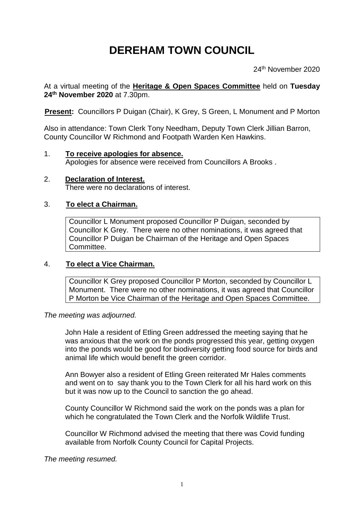# **DEREHAM TOWN COUNCIL**

24<sup>th</sup> November 2020

At a virtual meeting of the **Heritage & Open Spaces Committee** held on **Tuesday 24 th November 2020** at 7.30pm.

**Present: Councillors P Duigan (Chair), K Grey, S Green, L Monument and P Morton** 

Also in attendance: Town Clerk Tony Needham, Deputy Town Clerk Jillian Barron, County Councillor W Richmond and Footpath Warden Ken Hawkins.

- 1. **To receive apologies for absence.** Apologies for absence were received from Councillors A Brooks .
- 2. **Declaration of Interest.** There were no declarations of interest.

# 3. **To elect a Chairman.**

Councillor L Monument proposed Councillor P Duigan, seconded by Councillor K Grey. There were no other nominations, it was agreed that Councillor P Duigan be Chairman of the Heritage and Open Spaces Committee.

### 4. **To elect a Vice Chairman.**

Councillor K Grey proposed Councillor P Morton, seconded by Councillor L Monument. There were no other nominations, it was agreed that Councillor P Morton be Vice Chairman of the Heritage and Open Spaces Committee.

### *The meeting was adjourned.*

John Hale a resident of Etling Green addressed the meeting saying that he was anxious that the work on the ponds progressed this year, getting oxygen into the ponds would be good for biodiversity getting food source for birds and animal life which would benefit the green corridor.

Ann Bowyer also a resident of Etling Green reiterated Mr Hales comments and went on to say thank you to the Town Clerk for all his hard work on this but it was now up to the Council to sanction the go ahead.

County Councillor W Richmond said the work on the ponds was a plan for which he congratulated the Town Clerk and the Norfolk Wildlife Trust.

Councillor W Richmond advised the meeting that there was Covid funding available from Norfolk County Council for Capital Projects.

*The meeting resumed.*